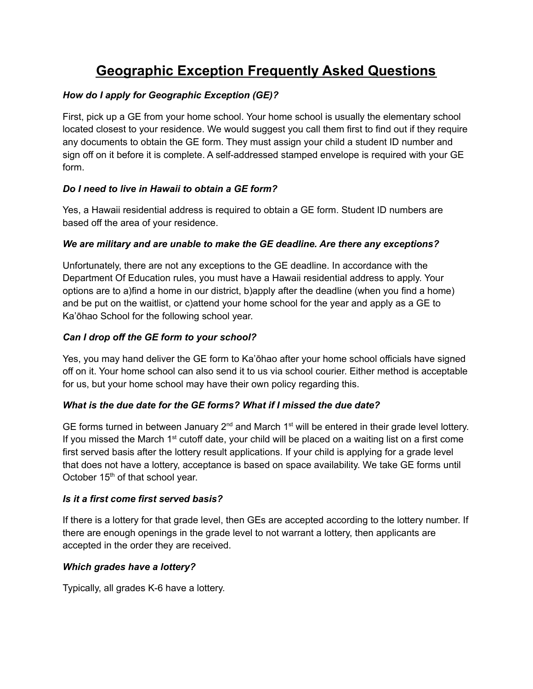# **Geographic Exception Frequently Asked Questions**

## *How do I apply for Geographic Exception (GE)?*

First, pick up a GE from your home school. Your home school is usually the elementary school located closest to your residence. We would suggest you call them first to find out if they require any documents to obtain the GE form. They must assign your child a student ID number and sign off on it before it is complete. A self-addressed stamped envelope is required with your GE form.

## *Do I need to live in Hawaii to obtain a GE form?*

Yes, a Hawaii residential address is required to obtain a GE form. Student ID numbers are based off the area of your residence.

## *We are military and are unable to make the GE deadline. Are there any exceptions?*

Unfortunately, there are not any exceptions to the GE deadline. In accordance with the Department Of Education rules, you must have a Hawaii residential address to apply. Your options are to a)find a home in our district, b)apply after the deadline (when you find a home) and be put on the waitlist, or c)attend your home school for the year and apply as a GE to Ka'ōhao School for the following school year.

## *Can I drop off the GE form to your school?*

Yes, you may hand deliver the GE form to Ka'ōhao after your home school officials have signed off on it. Your home school can also send it to us via school courier. Either method is acceptable for us, but your home school may have their own policy regarding this.

## *What is the due date for the GE forms? What if I missed the due date?*

GE forms turned in between January  $2^{nd}$  and March 1<sup>st</sup> will be entered in their grade level lottery. If you missed the March 1<sup>st</sup> cutoff date, your child will be placed on a waiting list on a first come first served basis after the lottery result applications. If your child is applying for a grade level that does not have a lottery, acceptance is based on space availability. We take GE forms until October  $15<sup>th</sup>$  of that school year.

## *Is it a first come first served basis?*

If there is a lottery for that grade level, then GEs are accepted according to the lottery number. If there are enough openings in the grade level to not warrant a lottery, then applicants are accepted in the order they are received.

## *Which grades have a lottery?*

Typically, all grades K-6 have a lottery.